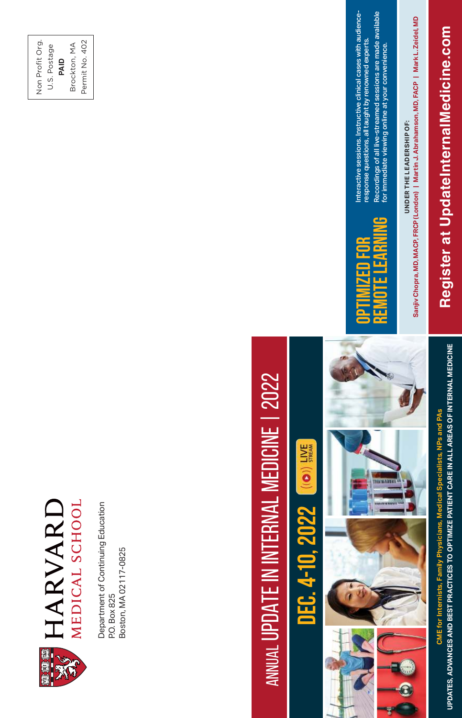

Department of Continuing Education Department of Continuing Education P.O. Box 825<br>Boston, MA 02117-0825 Boston, MA 02117-0825

#### Non Profit Org. Non Profit Org. Permit No. 402 Permit No. 402 Brockton, MA **PAID**<br>Brockton, MA U.S. Postage U.S. Postage

# ANNUAL UPDATE IN INTERNAL MEDICINE | 2022 ANNUAL UPDATE IN INTERNAL MEDICINE | 2022

# $\frac{1}{2M}$  ((O)) **Dec. 4-10, 2022**



**CME for Internists, Family Physicians, Medical Specialists, NPs and PAs UPDATES, ADVANCES AND BEST PRACTICES TO OPTIMIZE PATIENT CARE IN ALL AREAS OF INTERNAL MEDICINE**

CME for Internists, Family Physicians, Medical Specialists, NPs and PAs

UPDATES, ADVANCES AND BEST PRACTICES TO OPTIMIZE PATIENT CARE IN ALL AREAS OF INTERNAL MEDICINE

# **REMOTE LEARNINGOPTIMIZED FOR**  군

Interactive sessions. Instructive clinical cases with audience-Interactive sessions. Instructive clinical cases with audienceresponse questions, all taught by renowned experts. response questions, all taught by renowned experts.

UNDER THE LEADERSHIP OF: **UNDER THE LEADERSHIP OF:** 

for immediate viewing online at your convenience.

Recordings of all live-streamed sessions are made available<br>for immediate viewing online at your convenience. Recordings of all live-streamed sessions are made available

Sanjiv Chopra, MD, MACP, FRCP (London) | Martin J. Abrahamson, MD, FACP | Mark L. Zeidel, MD **Sanjiv Chopra, MD, MACP, FRCP (London) | Martin J. Abrahamson, MD, FACP | Mark L. Zeidel, MD**

**Register at UpdateInternalMedicine.com**

Register at UpdateInternalMedicine.com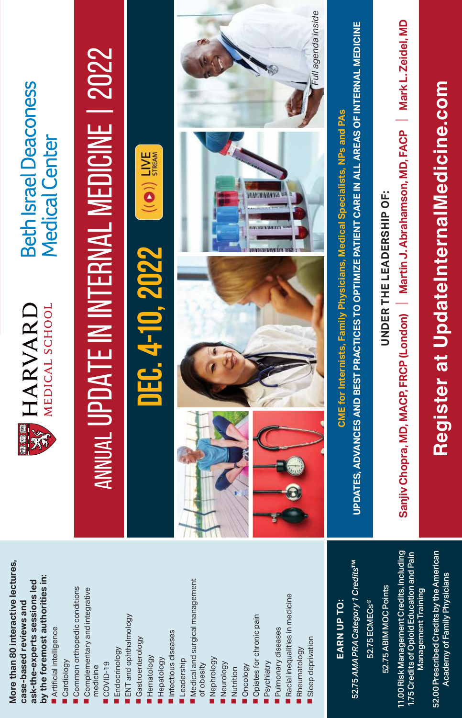| <b>Beth Israel Deaconess</b><br><b>Medical Center</b>                                                                                                                    | ANNUAL UPDATE IN INTERNAL MEDICINE   2022                                                                   | $\frac{1}{2}$ (( $\bullet$ ))                                                                | Full agenda inside                                                                                                                                                                                                                                      | UPDATES, ADVANCES AND BEST PRACTICES TO OPTIMIZE PATIENT CARE IN ALL AREAS OF INTERNAL MEDICINE<br>CME for Internists, Family Physicians, Medical Specialists, NPs and PAs | Mark L. Zeidel, MD<br>Martin J. Abrahamson, MD, FACP<br><b>UNDER THE LEADERSHIP OF:</b>                        | Register at UpdateInternalMedicine.com                                                          |
|--------------------------------------------------------------------------------------------------------------------------------------------------------------------------|-------------------------------------------------------------------------------------------------------------|----------------------------------------------------------------------------------------------|---------------------------------------------------------------------------------------------------------------------------------------------------------------------------------------------------------------------------------------------------------|----------------------------------------------------------------------------------------------------------------------------------------------------------------------------|----------------------------------------------------------------------------------------------------------------|-------------------------------------------------------------------------------------------------|
| <b>HARVARD</b><br>MEDICAL SCHOOL                                                                                                                                         |                                                                                                             | DEC. 4-10, 2022                                                                              |                                                                                                                                                                                                                                                         |                                                                                                                                                                            | Sanjiv Chopra, MD, MACP, FRCP (London)                                                                         |                                                                                                 |
| More than 80 interactive lectures,<br>by the foremost authorities in:<br>ask-the-experts sessions led<br>case-based reviews and<br>Artificial intelligence<br>Cardiology | Common orthopedic conditions<br>Complementary and integrative<br>Endocrinology<br>COVID-19<br>medicine<br>۰ | ENT and ophthalmology<br>Infectious diseases<br>Gastroenterology<br>Hematology<br>Hepatology | Medical and surgical management<br>Racial inequalities in medicine<br>Opiates for chronic pain<br>Pulmonary diseases<br>Sleep deprivation<br>Rheumatology<br>Nephrology<br>Leadership<br>Psychiatry<br>Neurology<br>of obesity<br>Oncology<br>Nutrition | 52.75 AMA PRA Category 1 Credits <sup>TM</sup><br>EARN UP TO:<br>52.75 ECMECs <sup>®</sup>                                                                                 | 11.00 Risk Management Credits, including<br>1.75 Credits of Opioid Education and Pain<br>52.75 ABIM MOC Points | 52.00 Prescribed Credits by the American<br>Academy of Family Physicians<br>Management Training |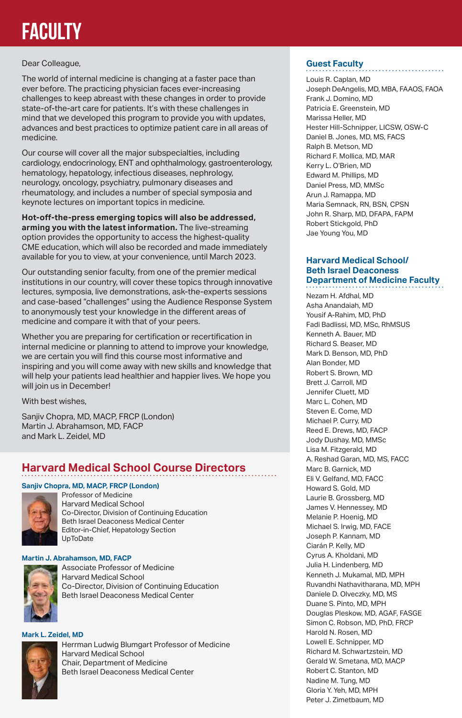# **Faculty**

#### Dear Colleague,

The world of internal medicine is changing at a faster pace than ever before. The practicing physician faces ever-increasing challenges to keep abreast with these changes in order to provide state-of-the-art care for patients. It's with these challenges in mind that we developed this program to provide you with updates, advances and best practices to optimize patient care in all areas of medicine.

Our course will cover all the major subspecialties, including cardiology, endocrinology, ENT and ophthalmology, gastroenterology, hematology, hepatology, infectious diseases, nephrology, neurology, oncology, psychiatry, pulmonary diseases and rheumatology, and includes a number of special symposia and keynote lectures on important topics in medicine.

**Hot-off-the-press emerging topics will also be addressed, arming you with the latest information.** The live-streaming option provides the opportunity to access the highest-quality CME education, which will also be recorded and made immediately available for you to view, at your convenience, until March 2023.

Our outstanding senior faculty, from one of the premier medical institutions in our country, will cover these topics through innovative lectures, symposia, live demonstrations, ask-the-experts sessions and case-based "challenges" using the Audience Response System to anonymously test your knowledge in the different areas of medicine and compare it with that of your peers.

Whether you are preparing for certification or recertification in internal medicine or planning to attend to improve your knowledge, we are certain you will find this course most informative and inspiring and you will come away with new skills and knowledge that will help your patients lead healthier and happier lives. We hope you will join us in December!

With best wishes,

Sanjiv Chopra, MD, MACP, FRCP (London) Martin J. Abrahamson, MD, FACP and Mark L. Zeidel, MD

#### **Harvard Medical School Course Directors**

#### **Sanjiv Chopra, MD, MACP, FRCP (London)**



Professor of Medicine Harvard Medical School Co-Director, Division of Continuing Education Beth Israel Deaconess Medical Center Editor-in-Chief, Hepatology Section UpToDate

#### **Martin J. Abrahamson, MD, FACP**



Associate Professor of Medicine Harvard Medical School Co-Director, Division of Continuing Education Beth Israel Deaconess Medical Center

#### **Mark L. Zeidel, MD**



#### **Guest Faculty**

Louis R. Caplan, MD Joseph DeAngelis, MD, MBA, FAAOS, FAOA Frank J. Domino, MD Patricia E. Greenstein, MD Marissa Heller, MD Hester Hill-Schnipper, LICSW, OSW-C Daniel B. Jones, MD, MS, FACS Ralph B. Metson, MD Richard F. Mollica, MD, MAR Kerry L. O'Brien, MD Edward M. Phillips, MD Daniel Press, MD, MMSc Arun J. Ramappa, MD Maria Semnack, RN, BSN, CPSN John R. Sharp, MD, DFAPA, FAPM Robert Stickgold, PhD Jae Young You, MD

#### **Harvard Medical School/ Beth Israel Deaconess Department of Medicine Faculty**

Nezam H. Afdhal, MD Asha Anandaiah, MD Yousif A-Rahim, MD, PhD Fadi Badlissi, MD, MSc, RhMSUS Kenneth A. Bauer, MD Richard S. Beaser, MD Mark D. Benson, MD, PhD Alan Bonder, MD Robert S. Brown, MD Brett J. Carroll, MD Jennifer Cluett, MD Marc L. Cohen, MD Steven E. Come, MD Michael P. Curry, MD Reed E. Drews, MD, FACP Jody Dushay, MD, MMSc Lisa M. Fitzgerald, MD A. Reshad Garan, MD, MS, FACC Marc B. Garnick, MD Eli V. Gelfand, MD, FACC Howard S. Gold, MD Laurie B. Grossberg, MD James V. Hennessey, MD Melanie P. Hoenig, MD Michael S. Irwig, MD, FACE Joseph P. Kannam, MD Ciarán P. Kelly, MD Cyrus A. Kholdani, MD Julia H. Lindenberg, MD Kenneth J. Mukamal, MD, MPH Ruvandhi Nathavitharana, MD, MPH Daniele D. Olveczky, MD, MS Duane S. Pinto, MD, MPH Douglas Pleskow, MD, AGAF, FASGE Simon C. Robson, MD, PhD, FRCP Harold N. Rosen, MD Lowell E. Schnipper, MD Richard M. Schwartzstein, MD Gerald W. Smetana, MD, MACP Robert C. Stanton, MD Nadine M. Tung, MD Gloria Y. Yeh, MD, MPH Peter J. Zimetbaum, MD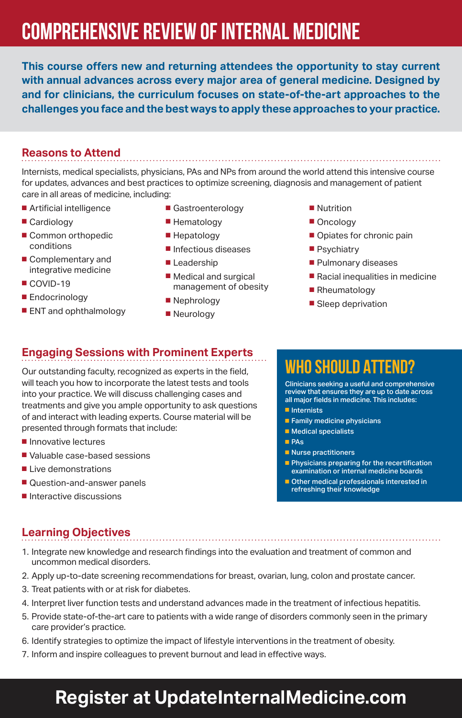# **COMPREHENSIVE REVIEW OF INTERNAL MEDICINE**

**This course offers new and returning attendees the opportunity to stay current with annual advances across every major area of general medicine. Designed by and for clinicians, the curriculum focuses on state-of-the-art approaches to the challenges you face and the best ways to apply these approaches to your practice.**

#### **Reasons to Attend**

Internists, medical specialists, physicians, PAs and NPs from around the world attend this intensive course for updates, advances and best practices to optimize screening, diagnosis and management of patient care in all areas of medicine, including:

- Artificial intelligence
- Cardiology
- Common orthopedic conditions
- Complementary and integrative medicine
- COVID-19
- Endocrinology
- ENT and ophthalmology
- Gastroenterology
- Hematology
- Hepatology
- Infectious diseases
- Leadership

■ Nephrology ■ Neurology

- Medical and surgical management of obesity
- -
- Psychiatry
	- Pulmonary diseases

■ Opiates for chronic pain

- Racial inequalities in medicine
- Rheumatology

■ Nutrition ■ Oncology

■ Sleep deprivation

#### **Engaging Sessions with Prominent Experts**

Our outstanding faculty, recognized as experts in the field, will teach you how to incorporate the latest tests and tools into your practice. We will discuss challenging cases and treatments and give you ample opportunity to ask questions of and interact with leading experts. Course material will be presented through formats that include:

- Innovative lectures
- Valuable case-based sessions
- Live demonstrations
- Question-and-answer panels
- Interactive discussions

### **WHO SHOULD ATTEND?**

Clinicians seeking a useful and comprehensive review that ensures they are up to date across all major fields in medicine. This includes:

- Internists
- Family medicine physicians
- Medical specialists
- ■ PAs
- Nurse practitioners
- Physicians preparing for the recertification examination or internal medicine boards
- Other medical professionals interested in refreshing their knowledge

#### **Learning Objectives**

- 1. Integrate new knowledge and research findings into the evaluation and treatment of common and uncommon medical disorders.
- 2. Apply up-to-date screening recommendations for breast, ovarian, lung, colon and prostate cancer.
- 3. Treat patients with or at risk for diabetes.
- 4. Interpret liver function tests and understand advances made in the treatment of infectious hepatitis.
- 5. Provide state-of-the-art care to patients with a wide range of disorders commonly seen in the primary care provider's practice.
- 6. Identify strategies to optimize the impact of lifestyle interventions in the treatment of obesity.
- 7. Inform and inspire colleagues to prevent burnout and lead in effective ways.

## **Register at UpdateInternalMedicine.com**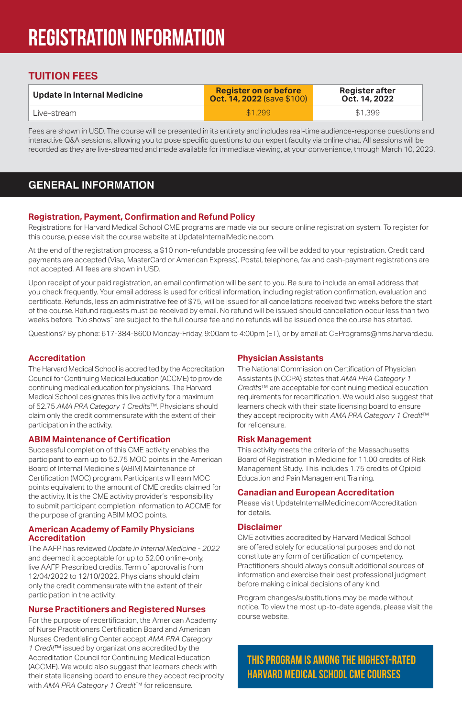# **Registration Information**

#### **TUITION FEES**

| Update in Internal Medicine | <b>Register on or before</b><br><b>Oct. 14, 2022</b> (save \$100) | Register after<br>Oct. 14, 2022 |
|-----------------------------|-------------------------------------------------------------------|---------------------------------|
| Live-stream                 | \$1.299                                                           | \$1,399                         |

Fees are shown in USD. The course will be presented in its entirety and includes real-time audience-response questions and interactive Q&A sessions, allowing you to pose specific questions to our expert faculty via online chat. All sessions will be recorded as they are live-streamed and made available for immediate viewing, at your convenience, through March 10, 2023.

#### **GENERAL INFORMATION**

#### **Registration, Payment, Confirmation and Refund Policy**

Registrations for Harvard Medical School CME programs are made via our secure online registration system. To register for this course, please visit the course website at UpdateInternalMedicine.com.

At the end of the registration process, a \$10 non-refundable processing fee will be added to your registration. Credit card payments are accepted (Visa, MasterCard or American Express). Postal, telephone, fax and cash-payment registrations are not accepted. All fees are shown in USD.

Upon receipt of your paid registration, an email confirmation will be sent to you. Be sure to include an email address that you check frequently. Your email address is used for critical information, including registration confirmation, evaluation and certificate. Refunds, less an administrative fee of \$75, will be issued for all cancellations received two weeks before the start of the course. Refund requests must be received by email. No refund will be issued should cancellation occur less than two weeks before. "No shows" are subject to the full course fee and no refunds will be issued once the course has started.

Questions? By phone: 617-384-8600 Monday-Friday, 9:00am to 4:00pm (ET), or by email at: CEPrograms@hms.harvard.edu.

#### **Accreditation**

The Harvard Medical School is accredited by the Accreditation Council for Continuing Medical Education (ACCME) to provide continuing medical education for physicians. The Harvard Medical School designates this live activity for a maximum of 52.75 *AMA PRA Category 1 Credits*™. Physicians should claim only the credit commensurate with the extent of their participation in the activity.

#### **ABIM Maintenance of Certification**

Successful completion of this CME activity enables the participant to earn up to 52.75 MOC points in the American Board of Internal Medicine's (ABIM) Maintenance of Certification (MOC) program. Participants will earn MOC points equivalent to the amount of CME credits claimed for the activity. It is the CME activity provider's responsibility to submit participant completion information to ACCME for the purpose of granting ABIM MOC points.

#### **American Academy of Family Physicians Accreditation**

The AAFP has reviewed *Update in Internal Medicine - 2022* and deemed it acceptable for up to 52.00 online-only, live AAFP Prescribed credits. Term of approval is from 12/04/2022 to 12/10/2022. Physicians should claim only the credit commensurate with the extent of their participation in the activity.

#### **Nurse Practitioners and Registered Nurses**

For the purpose of recertification, the American Academy of Nurse Practitioners Certification Board and American Nurses Credentialing Center accept *AMA PRA Category 1 Credit*™ issued by organizations accredited by the Accreditation Council for Continuing Medical Education (ACCME). We would also suggest that learners check with their state licensing board to ensure they accept reciprocity with *AMA PRA Category 1 Credit*™ for relicensure.

#### **Physician Assistants**

The National Commission on Certification of Physician Assistants (NCCPA) states that *AMA PRA Category 1 Credits*™ are acceptable for continuing medical education requirements for recertification. We would also suggest that learners check with their state licensing board to ensure they accept reciprocity with *AMA PRA Category 1 Credit*™ for relicensure.

#### **Risk Management**

This activity meets the criteria of the Massachusetts Board of Registration in Medicine for 11.00 credits of Risk Management Study. This includes 1.75 credits of Opioid Education and Pain Management Training.

#### **Canadian and European Accreditation**

Please visit UpdateInternalMedicine.com/Accreditation for details.

#### **Disclaimer**

CME activities accredited by Harvard Medical School are offered solely for educational purposes and do not constitute any form of certification of competency. Practitioners should always consult additional sources of information and exercise their best professional judgment before making clinical decisions of any kind.

Program changes/substitutions may be made without notice. To view the most up-to-date agenda, please visit the course website.

**THIS PROGRAM IS AMONG THE HIGHEST-RATED HARVARD MEDICAL SCHOOL CME COURSES**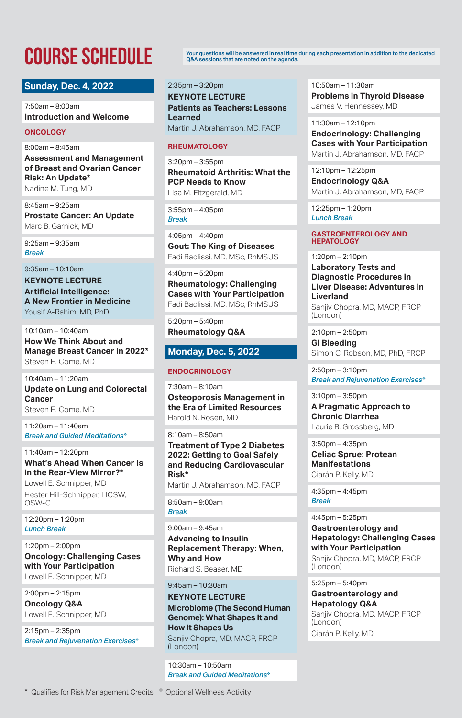#### **Sunday, Dec. 4, 2022**

7:50am – 8:00am **Introduction and Welcome**

#### **ONCOLOGY**

8:00am – 8:45am

**Assessment and Management of Breast and Ovarian Cancer Risk: An Update\*** Nadine M. Tung, MD

8:45am – 9:25am

**Prostate Cancer: An Update** Marc B. Garnick, MD

9:25am – 9:35am *Break* 

#### 9:35am – 10:10am

**KEYNOTE LECTURE Artificial Intelligence: A New Frontier in Medicine** Yousif A-Rahim, MD, PhD

10:10am – 10:40am **How We Think About and Manage Breast Cancer in 2022\*** Steven E. Come, MD

10:40am – 11:20am **Update on Lung and Colorectal Cancer** Steven E. Come, MD

11:20am – 11:40am *Break and Guided Meditations*❖

11:40am – 12:20pm **What's Ahead When Cancer Is in the Rear-View Mirror?\*** Lowell E. Schnipper, MD

Hester Hill-Schnipper, LICSW, OSW-C

12:20pm – 1:20pm *Lunch Break* 

1:20pm – 2:00pm **Oncology: Challenging Cases with Your Participation** Lowell E. Schnipper, MD

2:00pm – 2:15pm **Oncology Q&A** Lowell E. Schnipper, MD

2:15pm – 2:35pm *Break and Rejuvenation Exercises*❖

**COURSE SCHEDULE** Your questions will be answered in real time during each presentation in addition to the dedicated<br>Q&A sessions that are noted on the agenda. Q&A sessions that are noted on the agenda.

2:35pm – 3:20pm

**KEYNOTE LECTURE Patients as Teachers: Lessons Learned** Martin J. Abrahamson, MD, FACP

#### **RHEUMATOLOGY**

3:20pm – 3:55pm **Rheumatoid Arthritis: What the PCP Needs to Know** Lisa M. Fitzgerald, MD

3:55pm – 4:05pm *Break*

4:05pm – 4:40pm **Gout: The King of Diseases** Fadi Badlissi, MD, MSc, RhMSUS

4:40pm – 5:20pm **Rheumatology: Challenging Cases with Your Participation** Fadi Badlissi, MD, MSc, RhMSUS

5:20pm – 5:40pm **Rheumatology Q&A**

#### **Monday, Dec. 5, 2022**

#### **ENDOCRINOLOGY**

7:30am – 8:10am

**Osteoporosis Management in the Era of Limited Resources** Harold N. Rosen, MD

8:10am – 8:50am

**Treatment of Type 2 Diabetes 2022: Getting to Goal Safely and Reducing Cardiovascular Risk\***

Martin J. Abrahamson, MD, FACP

8:50am – 9:00am *Break*

9:00am – 9:45am **Advancing to Insulin Replacement Therapy: When, Why and How** Richard S. Beaser, MD

9:45am – 10:30am

**KEYNOTE LECTURE Microbiome (The Second Human Genome): What Shapes It and How It Shapes Us** Sanjiv Chopra, MD, MACP, FRCP (London)

10:30am – 10:50am *Break and Guided Meditations*❖ 10:50am – 11:30am **Problems in Thyroid Disease** James V. Hennessey, MD

11:30am – 12:10pm **Endocrinology: Challenging Cases with Your Participation** Martin J. Abrahamson, MD, FACP

12:10pm – 12:25pm **Endocrinology Q&A** Martin J. Abrahamson, MD, FACP

12:25pm – 1:20pm *Lunch Break*

#### **GASTROENTEROLOGY AND HEPATOLOGY**

1:20pm – 2:10pm

**Laboratory Tests and Diagnostic Procedures in Liver Disease: Adventures in Liverland** Saniiv Chopra, MD, MACP, FRCP (London)

2:10pm – 2:50pm

**GI Bleeding** Simon C. Robson, MD, PhD, FRCP

2:50pm – 3:10pm *Break and Rejuvenation Exercises*❖

3:10pm – 3:50pm

**A Pragmatic Approach to Chronic Diarrhea** Laurie B. Grossberg, MD

3:50pm – 4:35pm

**Celiac Sprue: Protean Manifestations** Ciarán P. Kelly, MD

4:35pm – 4:45pm *Break* 

4:45pm – 5:25pm

**Gastroenterology and Hepatology: Challenging Cases with Your Participation** Sanjiy Chopra, MD, MACP, FRCP (London)

5:25pm – 5:40pm

**Gastroenterology and Hepatology Q&A** Sanjiv Chopra, MD, MACP, FRCP (London) Ciarán P. Kelly, MD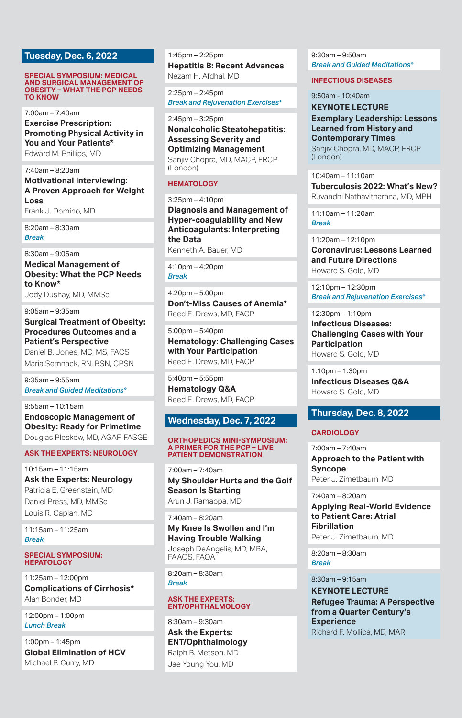#### **Tuesday, Dec. 6, 2022**

#### **SPECIAL SYMPOSIUM: MEDICAL AND SURGICAL MANAGEMENT OF OBESITY – WHAT THE PCP NEEDS TO KNOW**

7:00am – 7:40am

**Exercise Prescription: Promoting Physical Activity in You and Your Patients\*** Edward M. Phillips, MD

7:40am – 8:20am **Motivational Interviewing:** 

**A Proven Approach for Weight Loss** Frank J. Domino, MD

8:20am – 8:30am *Break* 

8:30am – 9:05am **Medical Management of Obesity: What the PCP Needs to Know\***

Jody Dushay, MD, MMSc

9:05am – 9:35am

**Surgical Treatment of Obesity: Procedures Outcomes and a Patient's Perspective**

Daniel B. Jones, MD, MS, FACS Maria Semnack, RN, BSN, CPSN

9:35am – 9:55am *Break and Guided Meditations*❖

9:55am – 10:15am **Endoscopic Management of Obesity: Ready for Primetime** Douglas Pleskow, MD, AGAF, FASGE

#### **ASK THE EXPERTS: NEUROLOGY**

10:15am – 11:15am **Ask the Experts: Neurology** Patricia E. Greenstein, MD Daniel Press, MD, MMSc Louis R. Caplan, MD

11:15am – 11:25am *Break* 

#### **SPECIAL SYMPOSIUM: HEPATOLOGY**

11:25am – 12:00pm **Complications of Cirrhosis\*** Alan Bonder, MD

12:00pm – 1:00pm *Lunch Break*

1:00pm – 1:45pm **Global Elimination of HCV** Michael P. Curry, MD

1:45pm – 2:25pm **Hepatitis B: Recent Advances** Nezam H. Afdhal, MD

2:25pm – 2:45pm *Break and Rejuvenation Exercises*❖

#### 2:45pm – 3:25pm

**Nonalcoholic Steatohepatitis: Assessing Severity and Optimizing Management** Sanjiv Chopra, MD, MACP, FRCP (London)

#### **HEMATOLOGY**

3:25pm – 4:10pm **Diagnosis and Management of Hyper-coagulability and New Anticoagulants: Interpreting the Data** Kenneth A. Bauer, MD

4:10pm – 4:20pm *Break* 

 $4:20$ pm – 5:00pm **Don't-Miss Causes of Anemia\*** Reed E. Drews, MD, FACP

5:00pm – 5:40pm **Hematology: Challenging Cases with Your Participation** Reed E. Drews, MD, FACP

5:40pm – 5:55pm **Hematology Q&A** Reed E. Drews, MD, FACP

#### **Wednesday, Dec. 7, 2022**

#### **ORTHOPEDICS MINI-SYMPOSIUM: A PRIMER FOR THE PCP – LIVE PATIENT DEMONSTRATION**

7:00am – 7:40am **My Shoulder Hurts and the Golf Season Is Starting** Arun J. Ramappa, MD

7:40am – 8:20am **My Knee Is Swollen and I'm Having Trouble Walking** Joseph DeAngelis, MD, MBA, FAAOS, FAOA

8:20am – 8:30am *Break* 

#### **ASK THE EXPERTS: ENT/OPHTHALMOLOGY**

8:30am – 9:30am **Ask the Experts: ENT/Ophthalmology** Ralph B. Metson, MD Jae Young You, MD

9:30am – 9:50am *Break and Guided Meditations*❖

#### **INFECTIOUS DISEASES**

9:50am - 10:40am

**KEYNOTE LECTURE Exemplary Leadership: Lessons Learned from History and Contemporary Times** Sanjiv Chopra, MD, MACP, FRCP (London)

10:40am – 11:10am **Tuberculosis 2022: What's New?** Ruvandhi Nathavitharana, MD, MPH

11:10am – 11:20am *Break* 

11:20am – 12:10pm **Coronavirus: Lessons Learned and Future Directions** Howard S. Gold, MD

12:10pm – 12:30pm *Break and Rejuvenation Exercises*❖

12:30pm – 1:10pm **Infectious Diseases: Challenging Cases with Your Participation** Howard S. Gold, MD

1:10pm – 1:30pm **Infectious Diseases Q&A** Howard S. Gold, MD

#### **Thursday, Dec. 8, 2022**

#### **CARDIOLOGY**

7:00am – 7:40am **Approach to the Patient with Syncope** Peter J. Zimetbaum, MD

7:40am – 8:20am

**Applying Real-World Evidence to Patient Care: Atrial Fibrillation** Peter J. Zimetbaum, MD

8:20am – 8:30am *Break* 

8:30am – 9:15am **KEYNOTE LECTURE Refugee Trauma: A Perspective from a Quarter Century's Experience** Richard F. Mollica, MD, MAR